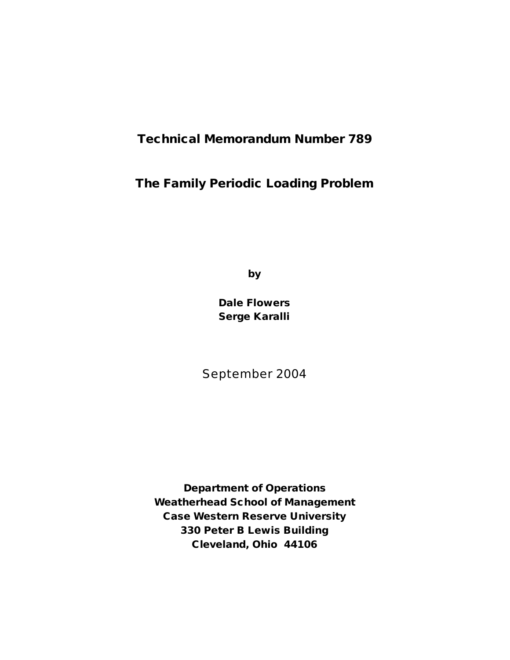# **Technical Memorandum Number 789**

# **The Family Periodic Loading Problem**

**by**

**Dale Flowers Serge Karalli**

September 2004

**Department of Operations Weatherhead School of Management Case Western Reserve University 330 Peter B Lewis Building Cleveland, Ohio 44106**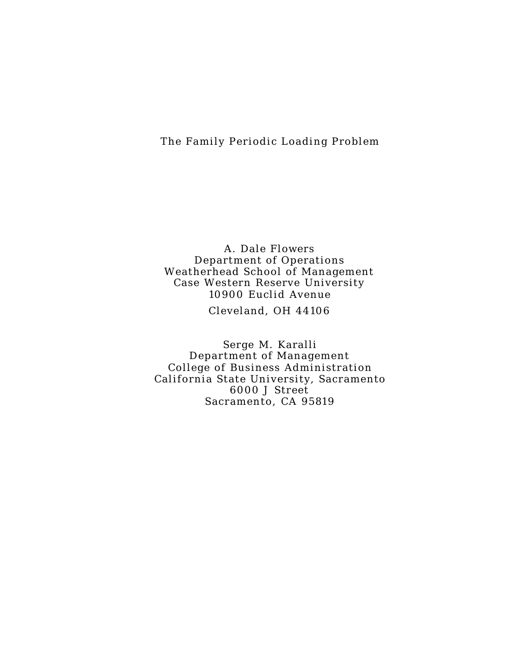## The Family Periodic Loading Problem

A. Dale Flowers Department of Operations Weatherhead School of Management Case Western Reserve University 10900 Euclid Avenue

Cleveland, OH 44106

Serge M. Karalli Department of Management College of Business Administration California State University, Sacramento 6000 J Street Sacramento, CA 9581 9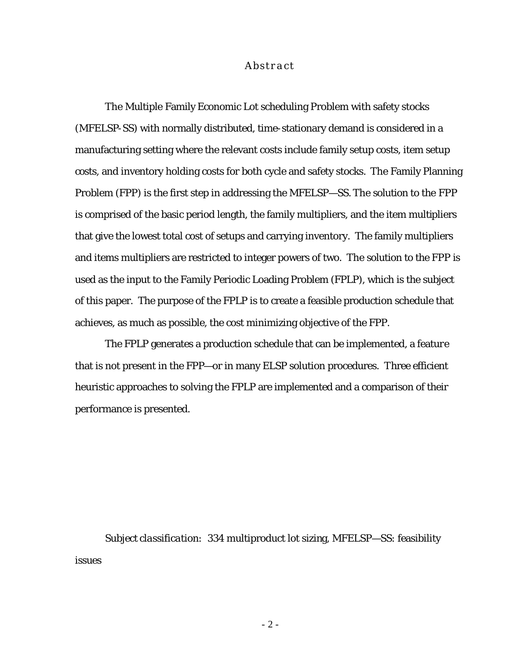#### *Abstract*

The Multiple Family Economic Lot scheduling Problem with safety stocks (MFELSP-SS) with normally distributed, time-stationary demand is considered in a manufacturing setting where the relevant costs include family setup costs, item setup costs, and inventory holding costs for both cycle and safety stocks. The Family Planning Problem (FPP) is the first step in addressing the MFELSP—SS. The solution to the FPP is comprised of the basic period length, the family multipliers, and the item multipliers that give the lowest total cost of setups and carrying inventory. The family multipliers and items multipliers are restricted to integer powers of two. The solution to the FPP is used as the input to the Family Periodic Loading Problem (FPLP), which is the subject of this paper. The purpose of the FPLP is to create a feasible production schedule that achieves, as much as possible, the cost minimizing objective of the FPP.

The FPLP generates a production schedule that can be implemented, a feature that is not present in the FPP—or in many ELSP solution procedures. Three efficient heuristic approaches to solving the FPLP are implemented and a comparison of their performance is presented.

*Subject classification:* 334 multiproduct lot sizing, MFELSP—SS: feasibility issues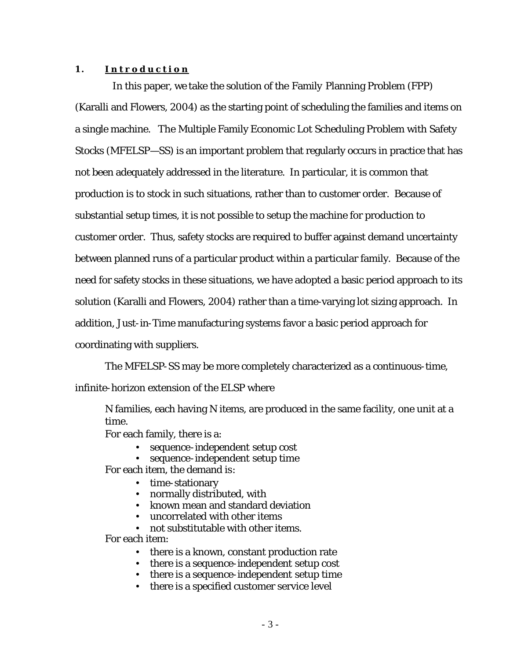#### **1 . Introduction**

 In this paper, we take the solution of the Family Planning Problem (FPP) (Karalli and Flowers, 2004) as the starting point of scheduling the families and items on a single machine. The Multiple Family Economic Lot Scheduling Problem with Safety Stocks (MFELSP—SS) is an important problem that regularly occurs in practice that has not been adequately addressed in the literature. In particular, it is common that production is to stock in such situations, rather than to customer order. Because of substantial setup times, it is not possible to setup the machine for production to customer order. Thus, safety stocks are required to buffer against demand uncertainty between planned runs of a particular product within a particular family. Because of the need for safety stocks in these situations, we have adopted a basic period approach to its solution (Karalli and Flowers, 2004) rather than a time-varying lot sizing approach. In addition, Just-in-Time manufacturing systems favor a basic period approach for coordinating with suppliers.

The MFELSP-SS may be more completely characterized as a continuous-time, infinite-horizon extension of the ELSP where

*N* families, each having *N* items, are produced in the same facility, one unit at a time.

For each family, there is a:

- sequence-independent setup cost
- sequence-independent setup time

For each item, the demand is:

- time-stationary
- normally distributed, with
- known mean and standard deviation
- uncorrelated with other items

• not substitutable with other items.

For each item:

- there is a known, constant production rate
- there is a sequence-independent setup cost
- there is a sequence-independent setup time
- there is a specified customer service level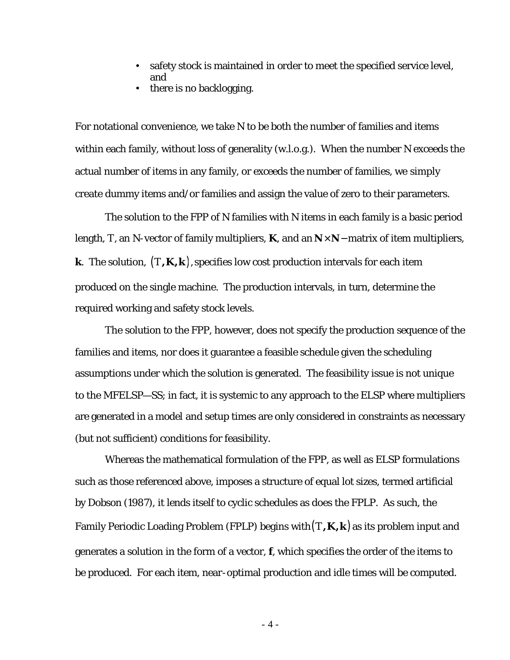- safety stock is maintained in order to meet the specified service level, and
- there is no backlogging.

For notational convenience, we take *N* to be both the number of families and items within each family, without loss of generality (w.l.o.g.). When the number *N* exceeds the actual number of items in any family, or exceeds the number of families, we simply create dummy items and/or families and assign the value of zero to their parameters.

The solution to the FPP of *N* families with *N* items in each family is a basic period length, *T*, an *N*-vector of family multipliers, **K**, and an  $N \times N$  – matrix of item multipliers, **k**. The solution,  $(T,K,k)$ , specifies low cost production intervals for each item produced on the single machine. The production intervals, in turn, determine the required working and safety stock levels.

The solution to the FPP, however, does not specify the production sequence of the families and items, nor does it guarantee a feasible schedule given the scheduling assumptions under which the solution is generated. The feasibility issue is not unique to the MFELSP—SS; in fact, it is systemic to any approach to the ELSP where multipliers are generated in a model and setup times are only considered in constraints as necessary (but not sufficient) conditions for feasibility.

Whereas the mathematical formulation of the FPP, as well as ELSP formulations such as those referenced above, imposes a structure of equal lot sizes, termed artificial by Dobson (1987), it lends itself to cyclic schedules as does the FPLP. As such, the Family Periodic Loading Problem (FPLP) begins with(*T,K,k*) as its problem input and generates a solution in the form of a vector, *f*, which specifies the order of the items to be produced. For each item, near-optimal production and idle times will be computed.

- 4 -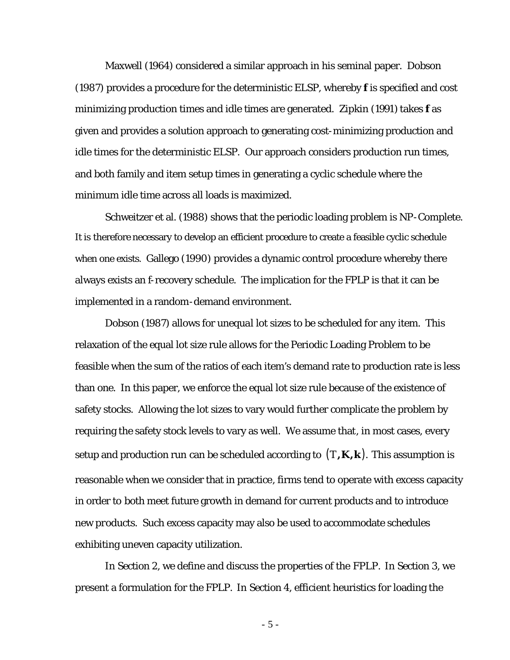Maxwell (1964) considered a similar approach in his seminal paper. Dobson (1987) provides a procedure for the deterministic ELSP, whereby *f* is specified and cost minimizing production times and idle times are generated. Zipkin (1991) takes *f* as given and provides a solution approach to generating cost-minimizing production and idle times for the deterministic ELSP. Our approach considers production run times, and both family and item setup times in generating a cyclic schedule where the minimum idle time across all loads is maximized.

Schweitzer et al. (1988) shows that the periodic loading problem is NP-Complete. It is therefore necessary to develop an efficient procedure to create a feasible cyclic schedule when one exists. Gallego (1990) provides a dynamic control procedure whereby there always exists an f-recovery schedule. The implication for the FPLP is that it can be implemented in a random-demand environment.

Dobson (1987) allows for unequal lot sizes to be scheduled for any item. This relaxation of the equal lot size rule allows for the Periodic Loading Problem to be feasible when the sum of the ratios of each item's demand rate to production rate is less than one. In this paper, we enforce the equal lot size rule because of the existence of safety stocks. Allowing the lot sizes to vary would further complicate the problem by requiring the safety stock levels to vary as well. We assume that, in most cases, every setup and production run can be scheduled according to  $(T,K,k)$ . This assumption is reasonable when we consider that in practice, firms tend to operate with excess capacity in order to both meet future growth in demand for current products and to introduce new products. Such excess capacity may also be used to accommodate schedules exhibiting uneven capacity utilization.

In Section 2, we define and discuss the properties of the FPLP. In Section 3, we present a formulation for the FPLP. In Section 4, efficient heuristics for loading the

- 5 -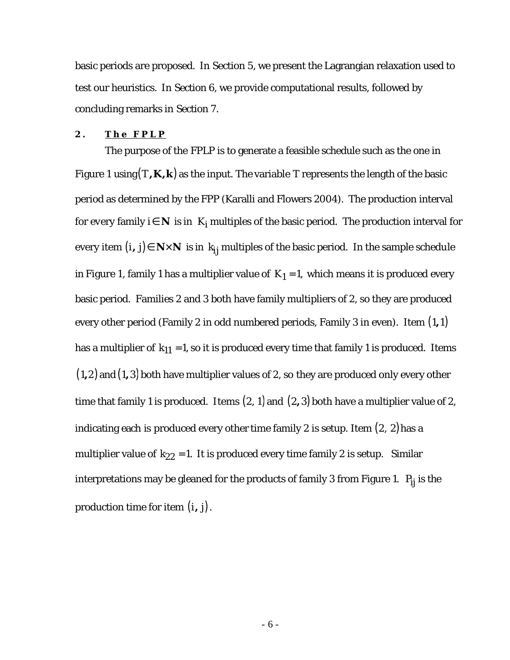basic periods are proposed. In Section 5, we present the Lagrangian relaxation used to test our heuristics. In Section 6, we provide computational results, followed by concluding remarks in Section 7.

#### **2 . The FPLP**

The purpose of the FPLP is to generate a feasible schedule such as the one in Figure 1 using  $(T,K,k)$  as the input. The variable T represents the length of the basic period as determined by the FPP (Karalli and Flowers 2004). The production interval for every family *i*∈  $N$  is in  $K_i$  multiples of the basic period. The production interval for every item  $(i, j) \in N \times N$  is in  $k_{ij}$  multiples of the basic period. In the sample schedule in Figure 1, family 1 has a multiplier value of  $K_1 = 1$ , which means it is produced every basic period. Families 2 and 3 both have family multipliers of 2, so they are produced every other period (Family 2 in odd numbered periods, Family 3 in even). Item (1,1) has a multiplier of  $k_{11} = 1$ , so it is produced every time that family 1 is produced. Items  $(1, 2)$  and  $(1, 3)$  both have multiplier values of 2, so they are produced only every other time that family 1 is produced. Items  $(2, 1)$  and  $(2, 3)$  both have a multiplier value of 2, indicating each is produced every other time family 2 is setup. Item (2, 2)has a multiplier value of  $k_{22} = 1$ . It is produced every time family 2 is setup. Similar interpretations may be gleaned for the products of family 3 from Figure 1.  $P_{ij}$  is the production time for item  $(i, j)$ .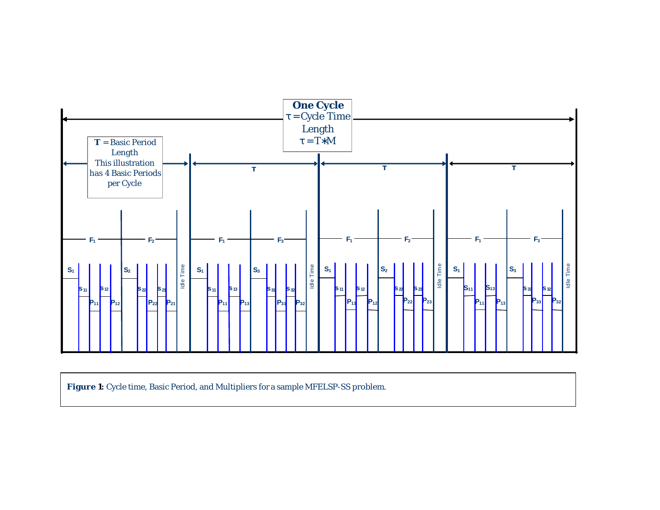

Figure 1: Cycle time, Basic Period, and Multipliers for a sample MFELSP-SS problem.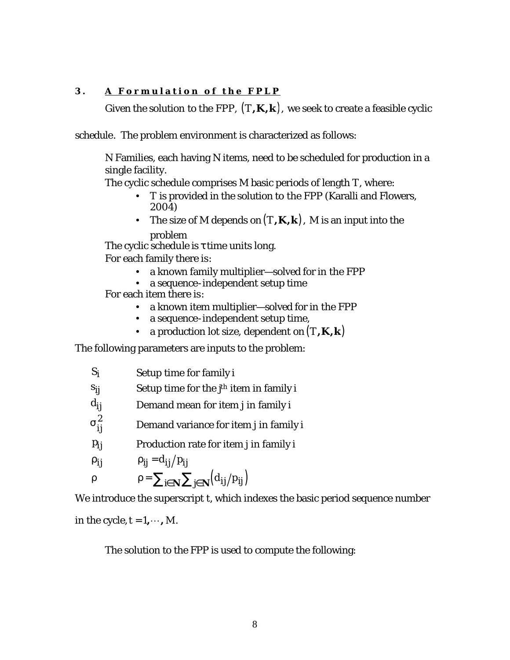## **3 . A Formulation of the FPLP**

Given the solution to the FPP,  $(T,K,k)$ , we seek to create a feasible cyclic

schedule. The problem environment is characterized as follows:

N Families, each having N items, need to be scheduled for production in a single facility.

The cyclic schedule comprises M basic periods of length *T*, where:

- *T* is provided in the solution to the FPP (Karalli and Flowers, 2004)
- The size of *M* depends on  $(T,K,k)$ , *M* is an input into the problem

The cyclic schedule is  $\tau$  time units long.

For each family there is:

- a known family multiplier—solved for in the FPP
- a sequence-independent setup time

For each item there is:

- a known item multiplier—solved for in the FPP
- a sequence-independent setup time,
- a production lot size, dependent on  $(T,K,k)$

The following parameters are inputs to the problem:

| $S_i$      | Setup time for family i                                                  |
|------------|--------------------------------------------------------------------------|
| $s_{ij}$   | Setup time for the $j^h$ item in family i                                |
| $d_{ij}$   | Demand mean for item <i>j</i> in family <i>i</i>                         |
| $s_{ii}^2$ | Demand variance for item <i>j</i> in family <i>i</i>                     |
| $p_{ij}$   | Production rate for item <i>j</i> in family <i>i</i>                     |
| $r_{ij}$   | $p_{ii} = d_{ii}/p_{ii}$                                                 |
| r          | $\rho = \sum_{i \in \mathbf{N}} \sum_{j \in \mathbf{N}} (d_{ij}/p_{ij})$ |

We introduce the superscript *t*, which indexes the basic period sequence number

in the cycle,  $t = 1, \dots, M$ .

The solution to the FPP is used to compute the following: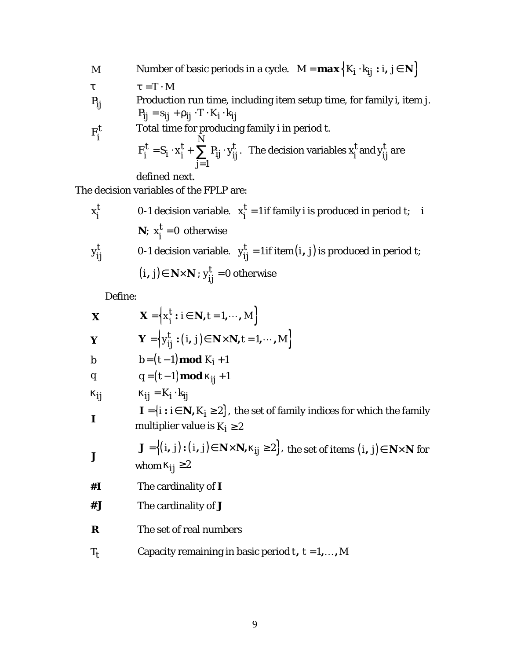M Number of basic periods in a cycle. 
$$
M = \max\left\{K_i \cdot k_{ij} : i, j \in \mathbb{N}\right\}
$$
  
\n $t = T \cdot M$   
\n $P_{ij}$  Production run time, including item setup time, for family *i*, item *j*.  
\n $P_{ij} = s_{ij} + r_{ij} \cdot T \cdot K_i \cdot k_{ij}$   
\nTotal time for producing family *i* in period *t*.  
\n $F_i^t = S_i \cdot x_i^t + \sum_{j=1}^N P_{ij} \cdot y_{ij}^t$ . The decision variables  $x_i^t$  and  $y_{ij}^t$  are defined next.

The decision variables of the FPLP are:

$$
x_i^t
$$
 0-1 decision variable.  $x_i^t = 1$  if family *i* is produced in period *t*; *i*  
\n**N**;  $x_i^t = 0$  otherwise  
\n0-1 decision variable.  $y_{ij}^t = 1$  if item(*i*, *j*) is produced in period *t*;  
\n(*i*, *j*)  $\in$  **N**×**N**;  $y_{ij}^t = 0$  otherwise

Define:

| $\boldsymbol{X}$ | $\boldsymbol{X} = \left\{ x_i^t : i \in \boldsymbol{N}, t = 1, \cdots, M \right\}$                                                                                          |
|------------------|-----------------------------------------------------------------------------------------------------------------------------------------------------------------------------|
| Y                | $\boldsymbol{Y} = \left\{ y_{ii}^t : (i, j) \in \boldsymbol{N} \times \boldsymbol{N}, t = 1, \cdots, M \right\}$                                                            |
| $\boldsymbol{b}$ | $b = (t-1) \mod K_i + 1$                                                                                                                                                    |
| q                | $q = (t-1) \mod k_{ij} + 1$                                                                                                                                                 |
| $k_{ij}$         | $k_{ij} = K_i \cdot k_{ii}$                                                                                                                                                 |
| $\boldsymbol{I}$ | $\mathbf{I} = \{i : i \in \mathbf{N}, K_i \geq 2\}$ , the set of family indices for which the family<br>multiplier value is $K_i \geq 2$                                    |
|                  | $\mathbf{J} = \{(i, j) : (i, j) \in \mathbf{N} \times \mathbf{N}, k_{ij} \geq 2\}$ , the set of items $(i, j) \in \mathbf{N} \times \mathbf{N}$ for<br>whom $k_{ij} \geq 2$ |
| #I               | The cardinality of $\bm{I}$                                                                                                                                                 |
| #J               | The cardinality of $\bm{J}$                                                                                                                                                 |
| R                | The set of real numbers                                                                                                                                                     |
| $T_t$            | Capacity remaining in basic period t, $t = 1, , M$                                                                                                                          |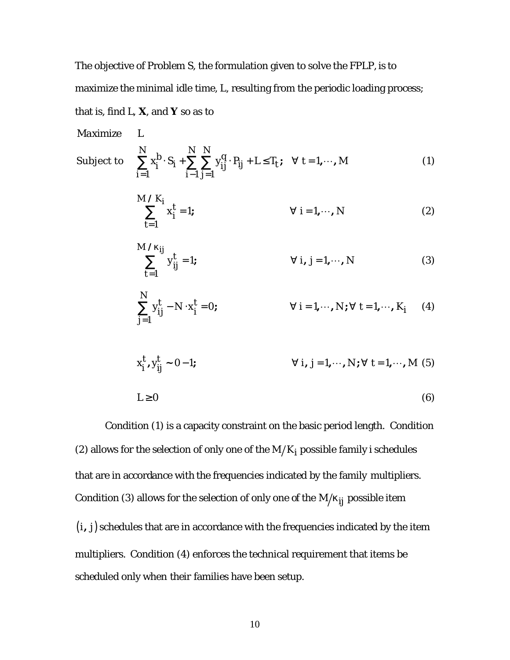The objective of Problem S, the formulation given to solve the FPLP, is to maximize the minimal idle time, *L*, resulting from the periodic loading process;

that is, find *L*, *X*, and *Y* so as to

*Maximize L* Subject to 1  $i-1 j=1$ ;  $\forall$   $t=1,\cdots$ ,  $\sum_{i=1}^{N} b_i \cdot \sum_{i=1}^{N} \sum_{i=1}^{N} b_i \cdot \sum_{i=1}^{N} b_i \cdot \sum_{i=1}^{N} b_i \cdot \sum_{i=1}^{N} b_i \cdot \sum_{i=1}^{N} b_i \cdot \sum_{i=1}^{N} b_i \cdot \sum_{i=1}^{N} b_i \cdot \sum_{i=1}^{N} b_i \cdot \sum_{i=1}^{N} b_i \cdot \sum_{i=1}^{N} b_i \cdot \sum_{i=1}^{N} b_i \cdot \sum_{i=1}^{N} b_i \cdot \sum_{i=1}^{N} b_i \cdot \sum_{i=1}^{N} b_i \cdot$  $\sum_j$   $S_i$  +  $\sum_j$   $\sum_j$   $Y_{ij}$  +  $T_{ij}$  +  $L \leq I_t$ *i*=1 *i i j*  $x_i^D \cdot S_i + \sum_i \sum_j y_{ii}^q \cdot P_{ii} + L \leq T_f$ ;  $\forall t = 1, \dots, M$  $=1$   $i-1 j=$  $\sum x_i^b \cdot S_i + \sum \sum y_{ij}^q \cdot P_{ij} + L \le T_t$ ;  $\forall t = 1, \dots, M$  (1) 1  $x_i^l = 1; \qquad \qquad \forall i = 1, \cdots, N$  $\sum_{i=1}^{M} x_i^k$ *i t* =  $\sum x_i^t = 1; \qquad \forall i = 1, \cdots, N$  (2) 1  $\sum_{i}^{j} y_{ii}^{t} = 1; \qquad \forall i, j = 1, ..., N$  (3) */ M ij t ij t k* = 1  $\sum y_{ij}^{t} - N \cdot x_{i}^{t} = 0; \qquad \forall i = 1, ..., N; \forall t = 1, ..., K_{i}$  (4) *N*  $t = N_{i}$   $\mathbf{v}^{t}$ *j* =  $x_i^l, y_{ij}^l \sim 0 - 1;$   $\forall i, j = 1, ..., N; \forall t = 1, ..., M$  (5)  $x_i^t, y_{ii}^t \sim 0 - 1$ ;  $L \geq 0$  (6)

Condition (1) is a capacity constraint on the basic period length. Condition (2) allows for the selection of only one of the  $M/K_i$  possible family *i* schedules that are in accordance with the frequencies indicated by the family multipliers. Condition (3) allows for the selection of only one of the  $M/k_{jj}$  possible item  $(i, j)$  schedules that are in accordance with the frequencies indicated by the item multipliers. Condition (4) enforces the technical requirement that items be scheduled only when their families have been setup.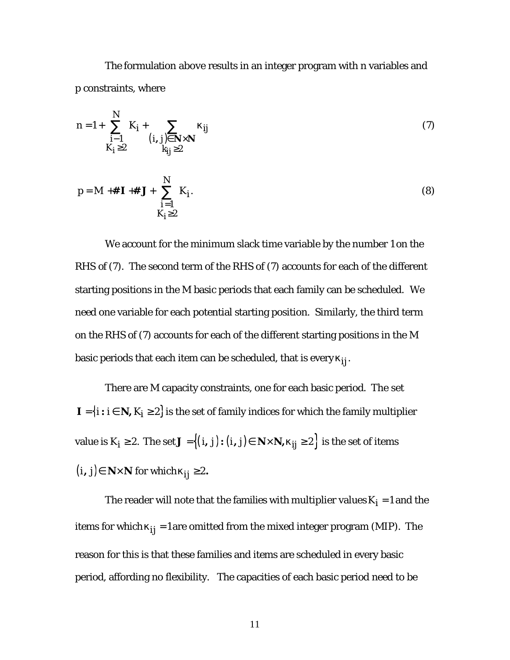The formulation above results in an integer program with n variables and p constraints, where

$$
n = 1 + \sum_{\substack{i=1 \ k_i \ge 2}}^N K_i + \sum_{\substack{(i, j) \in \mathbf{N} \times \mathbf{N} \\ k_{ij} \ge 2}} k_{ij}
$$
 (7)

$$
p = M + #\mathbf{I} + #\mathbf{J} + \sum_{\substack{i=1 \ k_i \ge 2}}^N K_i.
$$
 (8)

We account for the minimum slack time variable by the number 1 on the RHS of (7). The second term of the RHS of (7) accounts for each of the different starting positions in the M basic periods that each family can be scheduled. We need one variable for each potential starting position. Similarly, the third term on the RHS of (7) accounts for each of the different starting positions in the *M* basic periods that each item can be scheduled, that is every  $\bm{k_{ij}}$ .

There are *M* capacity constraints, one for each basic period. The set *I* = {*i : i* ∈ *N*, *K*<sub>*i*</sub> ≥ 2} is the set of family indices for which the family multiplier value is  $K_i \geq 2$ . The set  $J = \{(i, j) : (i, j) \in \mathbb{N} \times \mathbb{N}, k_{ij} \geq 2\}$  is the set of items  $(i, j)$ ∈  $N \times N$  for which  $k_{jj} \ge 2$ .

The reader will note that the families with multiplier values  $K_i = 1$  and the items for which  $k_{jj} = 1$  are omitted from the mixed integer program (MIP). The reason for this is that these families and items are scheduled in every basic period, affording no flexibility. The capacities of each basic period need to be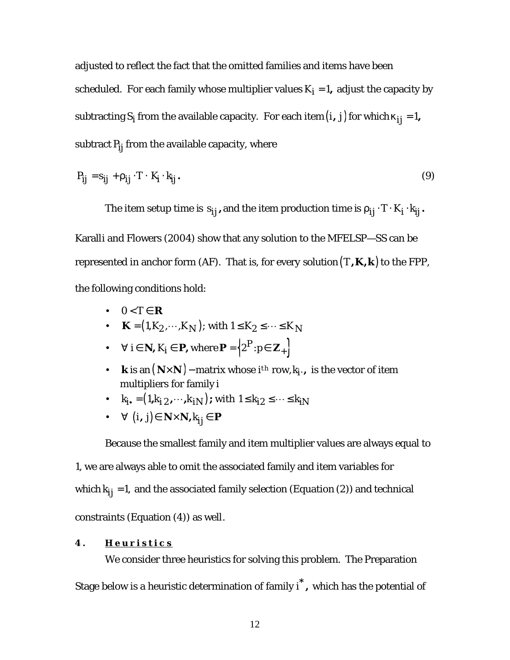adjusted to reflect the fact that the omitted families and items have been scheduled. For each family whose multiplier values  $K_i = 1$ , adjust the capacity by subtracting  $S_i$  from the available capacity. For each item  $(i, j)$  for which  $k_{jj} = 1$ , subtract  $P_{ij}$  from the available capacity, where

$$
P_{ij} = s_{ij} + r_{ij} \cdot T \cdot K_i \cdot k_{ij}.
$$
 (9)

The item setup time is  $s_{ij}$  , and the item production time is  $r_{ij} \cdot T \cdot K_i \cdot k_{ij}$  .

Karalli and Flowers (2004) show that any solution to the MFELSP—SS can be represented in anchor form (AF). That is, for every solution  $(T,K,k)$  to the FPP, the following conditions hold:

- $0 < T \in \mathbb{R}$
- $K = (1, K_2, \dots, K_N)$ ; with  $1 \le K_2 \le \dots \le K_N$
- $\forall i \in \mathbb{N}, K_i \in \mathbb{P}, \text{where } \mathbb{P} = \left\{2^P : p \in \mathbb{Z}_+ \right\}.$
- *k* is an  $(N \times N)$  matrix whose *i*<sup>th</sup> row,  $k_i$ , *i*s the vector of item multipliers for family *i*
- $k_i = (1, k_i, \dots, k_i, \dots)$ ; with  $1 \le k_i, \ge \dots \le k_i,$
- $\forall$   $(i, j) \in \mathbb{N} \times \mathbb{N}, k_{ij} \in \mathbb{P}$

Because the smallest family and item multiplier values are always equal to 1, we are always able to omit the associated family and item variables for which  $k_{jj} = 1$ , and the associated family selection (Equation (2)) and technical constraints (Equation (4)) as well.

### **4 . Heuristic s**

We consider three heuristics for solving this problem. The Preparation Stage below is a heuristic determination of family *\* i ,* which has the potential of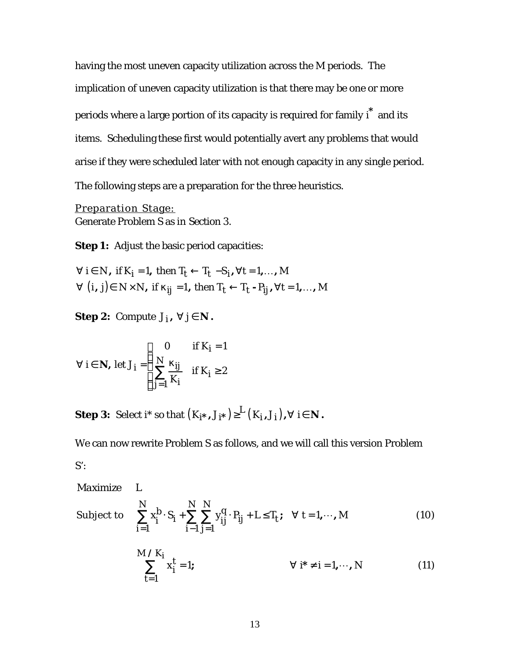having the most uneven capacity utilization across the *M* periods. The implication of uneven capacity utilization is that there may be one or more periods where a large portion of its capacity is required for family *\* i* and its items. Scheduling these first would potentially avert any problems that would arise if they were scheduled later with not enough capacity in any single period. The following steps are a preparation for the three heuristics.

Preparation Stage: Generate Problem S as in Section 3.

**Step 1:** Adjust the basic period capacities:

 $\forall$   $(i, j)$  $\in$   $N \times N$ , if  $k_{jj}$  =1, then  $T_{t} \leftarrow T_{t}$  -  $P_{jj}$ ,  $\forall t$  =1,..., M  $\forall i \in N$ , if  $K_i = 1$ , then  $T_t \leftarrow T_t - S_i$ ,  $\forall t = 1,...,M$ 

**Step 2:** Compute  $J_i$ ,  $\forall j \in \mathbb{N}$ .

$$
\forall i \in \mathbf{N}, \text{ let } J_i = \begin{cases} 0 & \text{if } K_i = 1 \\ \sum_{j=1}^{N} \frac{k_{ij}}{K_i} & \text{if } K_i \ge 2 \end{cases}
$$

**Step 3:** Select i\* so that  $(K_{\boldsymbol{I^*}},J_{\boldsymbol{I^*}}) {\geq}^L(K_{\boldsymbol{I}},J_{\boldsymbol{I}}), \forall \,\, \mathfrak{i} \in \boldsymbol{N}$ .

We can now rewrite Problem S as follows, and we will call this version Problem  $S$ :

*Maximize L*

Subject to 
$$
\sum_{i=1}^{N} x_i^b \cdot S_i + \sum_{i=1}^{N} \sum_{j=1}^{N} y_{ij}^q \cdot P_{ij} + L \le T_t; \quad \forall \ t = 1, \dots, M
$$
 (10)

$$
\sum_{t=1}^{M/K_i} x_i^t = 1; \qquad \forall i^* \neq i = 1, \cdots, N \qquad (11)
$$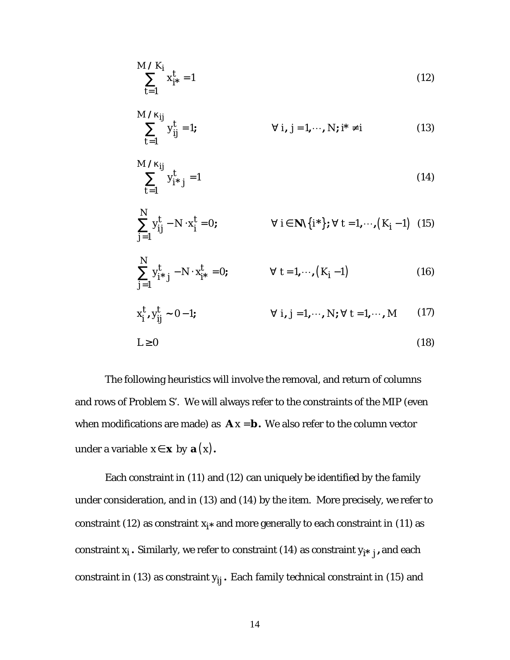$$
\sum_{t=1}^{M/K_i} x_{i^*}^t = 1
$$
 (12)

$$
\sum_{t=1}^{M/k_{ij}} y_{ij}^t = 1; \qquad \forall i, j = 1, \cdots, N; i^* \neq i \qquad (13)
$$

$$
\sum_{t=1}^{M/k_{ij}} y_{i^*j}^t = 1
$$
\n(14)

$$
\sum_{j=1}^{N} y_{ij}^{t} - N \cdot x_{i}^{t} = 0; \qquad \forall i \in \mathbf{N} \setminus \{i^{*}\}; \forall t = 1, \cdots, (K_{i} - 1) \quad (15)
$$

$$
\sum_{j=1}^{N} y_{i \, \ast \, j}^{t} - N \cdot x_{i \, \ast}^{t} = 0; \qquad \forall \ t = 1, \cdots, (K_{i} - 1) \tag{16}
$$

$$
x_i^t, y_{ij}^t \sim 0-1; \qquad \forall i, j = 1, \cdots, N; \forall t = 1, \cdots, M \qquad (17)
$$
  

$$
L \ge 0 \qquad (18)
$$

The following heuristics will involve the removal, and return of columns and rows of Problem S'. We will always refer to the constraints of the MIP (even when modifications are made) as  $\mathbf{A} x = \mathbf{b}$ . We also refer to the column vector under a variable  $x \in \mathbf{x}$  by  $\mathbf{a}(x)$ .

*N*

Each constraint in (11) and (12) can uniquely be identified by the family under consideration, and in (13) and (14) by the item. More precisely, we refer to constraint (12) as constraint  $x_i$ <sup>\*</sup> and more generally to each constraint in (11) as constraint  $x_i$ . Similarly, we refer to constraint (14) as constraint  $y_{i^*j}$ , and each constraint in (13) as constraint  $y_{ij}$ . Each family technical constraint in (15) and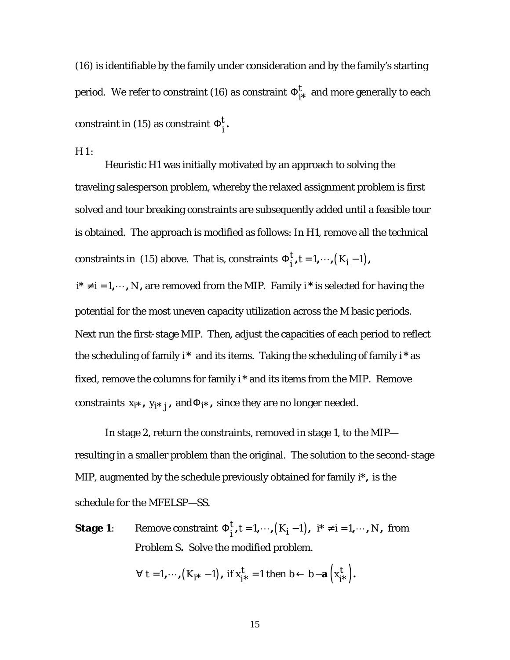(16) is identifiable by the family under consideration and by the family's starting period. We refer to constraint (16) as constraint  $\Phi^t_{j^*}$  $\Phi_{i^*}^l$  and more generally to each constraint in (15) as constraint  $\Phi_i^t$ .  $\Phi_i^l$ 

#### H1:

Heuristic H1 was initially motivated by an approach to solving the traveling salesperson problem, whereby the relaxed assignment problem is first solved and tour breaking constraints are subsequently added until a feasible tour is obtained. The approach is modified as follows: In H1, remove all the technical constraints in (15) above. That is, constraints  $\Phi_i^t$ ,  $t = 1, \dots, (K_i - 1)$ ,  $\Phi_i^t$ ,  $t = 1, \cdots, (K_i -$ 

 $i^* \neq i = 1, \dots, N$ , are removed from the MIP. Family  $i^*$  is selected for having the potential for the most uneven capacity utilization across the M basic periods. Next run the first-stage MIP. Then, adjust the capacities of each period to reflect the scheduling of family *i \** and its items. Taking the scheduling of family *i \** as fixed, remove the columns for family *i \** and its items from the MIP. Remove constraints  $x_{i^*}$ ,  $y_{i^*j}$ , and  $\Phi_{i^*}$ , since they are no longer needed.

In stage 2, return the constraints, removed in stage 1, to the MIP resulting in a smaller problem than the original. The solution to the second-stage MIP, augmented by the schedule previously obtained for family *i\*,* is the schedule for the MFELSP—SS.

**Stage 1**: Remove constraint  $\Phi_i^t$ ,  $t = 1, \dots, (K_i - 1)$ ,  $\Phi_i^l$ , *t* = 1, ···,  $(K_i-1)$ ,  $i^* \neq i = 1, \dots, N$ , from Problem S**.** Solve the modified problem.

$$
\forall
$$
 t =1,...,  $(K_{i^*}-1)$ , if  $x_{i^*}^t = 1$  then  $b \leftarrow b - a(x_{i^*}^t)$ .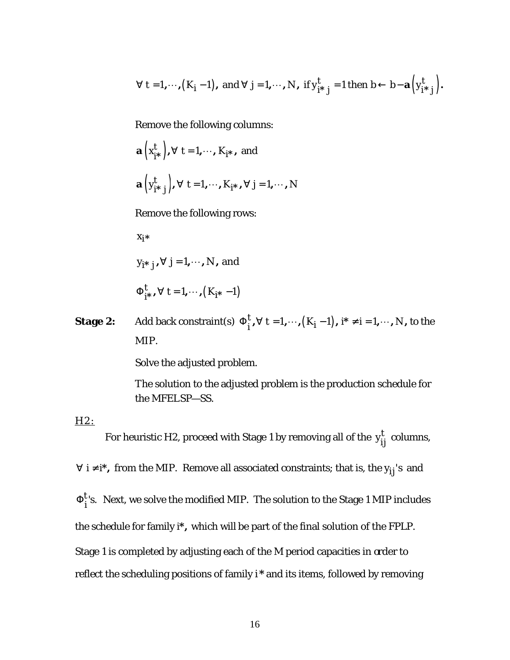$$
\forall
$$
 t =1,...,  $(K_i-1)$ , and  $\forall$  j =1,..., N, if  $y_{i^*j}^t = 1$  then  $b \leftarrow b - a(y_{i^*j}^t)$ .

Remove the following columns:

$$
\mathbf{a}(x_{i^*}^t), \forall t = 1, \cdots, K_{i^*}, \text{ and}
$$
  
 $\mathbf{a}(y_{i^*j}^t), \forall t = 1, \cdots, K_{i^*}, \forall j = 1, \cdots, N$ 

Remove the following rows:

*xi\**

*y<sub>i\* j</sub>,∀ j*=1,…*, N ,* and

 $\sum_{i^*}^{t}$ ,  $\forall$   $t = 1, \cdots, (K_{i^*} - 1)$  $\Phi_{i^*}^l$ ,  $\forall$   $t = 1, \cdots, (K_{i^*} -$ 

**Stage 2:** Add back constraint(s)  $\Phi_i^t$ ,  $\forall$   $t = 1, \dots, (K_i - 1)$ ,  $\Phi_i^l$ ,  $\forall$  *t* = 1,  $\dots$ ,  $(K_i-1)$ ,  $i^* \neq i = 1, \dots, N$ , to the MIP.

Solve the adjusted problem.

The solution to the adjusted problem is the production schedule for the MFELSP—SS.

H<sub>2</sub>:

For heuristic H2, proceed with Stage 1 by removing all of the  $y_{ij}^t$  columns,

∀ *i* ≠ *i*<sup>\*</sup>, from the MIP. Remove all associated constraints; that is, the  $y_{ij}$ 's and  $\Phi_{\boldsymbol{i}}^{t}$ 's. Next, we solve the modified MIP. The solution to the Stage 1 MIP includes the schedule for family *i\*,* which will be part of the final solution of the FPLP. Stage 1 is completed by adjusting each of the M period capacities in order to reflect the scheduling positions of family *i \** and its items, followed by removing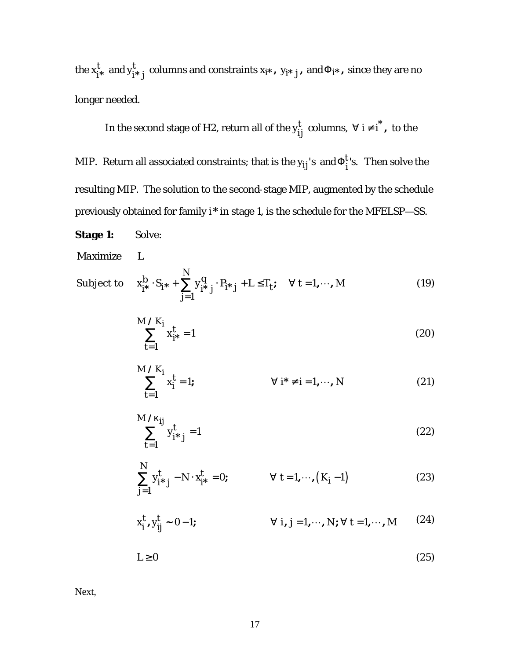the  $x^t_{i^*}$  $x_{i^*}^t$  and  $y_{i^*j}^t$  columns and constraints  $x_{i^*}$ ,  $y_{i^*j}$ , and  $\Phi_{i^*}$ , since they are no longer needed.

In the second stage of H2, return all of the  $y_{ij}^t$  columns,  $\forall i \neq i^*$ , to the

MIP. Return all associated constraints; that is the  $y_{ij}$ 's and $\Phi_i^{t}$ 's. Then solve the resulting MIP. The solution to the second-stage MIP, augmented by the schedule previously obtained for family *i \** in stage 1, is the schedule for the MFELSP—SS.

**Stage 1:** Solve:

### *Maximize L*

Subject to 1  $S_{i^*}$   $\cdot$   $S_{i^*}$  +  $\sum y_{i^*j}^q$   $\cdot$   $P_{i^*j}$  +  $L \le T_t$ ;  $\forall$  t = 1,  $\cdots$ ,  $b_{\text{max}} \times \frac{N}{N}$  $j^{*}$   $S_{i}^{*}$  +  $\sum Y_{i}^{*}$   $j^{'}$   $F_{i}^{*}$   $j^{+}$   $L \leq I_{i}$ *j*  $X_{i*}^D \cdot S_{i*} + \sum_{i} Y_{i*}^q \cdot P_{i*} + L \le T_t$ ;  $\forall t = 1, \dots, M$ =  $\cdot S_{i^*} + \sum_{j^*} y_{i^*}^q + P_{i^*j} + L \le T_t; \quad \forall t = 1, \dots, M$  (19)

$$
\sum_{t=1}^{M/K_i} x_{i^*}^t = 1
$$
 (20)

$$
\sum_{t=1}^{M/K_i} x_i^t = 1; \qquad \forall i^* \neq i = 1, \cdots, N \qquad (21)
$$

$$
\sum_{t=1}^{M/k_{ij}} y_{i^*j}^t = 1
$$
\n(22)

$$
\sum_{j=1}^{N} y_{i \, \ast \, j}^{t} - N \cdot x_{i \, \ast}^{t} = 0; \qquad \forall \ t = 1, \cdots, (K_{i} - 1)
$$
\n(23)

$$
x_i^t, y_{ij}^t \sim 0 - 1; \qquad \forall i, j = 1, \cdots, N; \forall t = 1, \cdots, M \qquad (24)
$$

$$
L \ge 0 \tag{25}
$$

Next,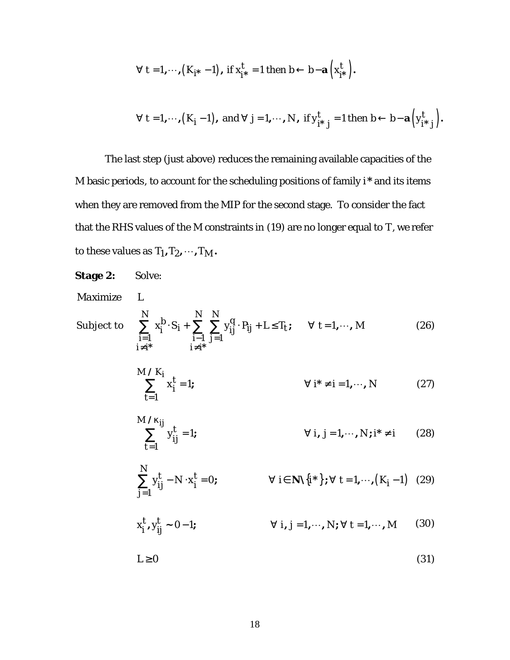$$
\forall t = 1, \cdots, (K_{i^*} - 1), \text{ if } x_{i^*}^t = 1 \text{ then } b \leftarrow b - \mathbf{a} \left( x_{i^*}^t \right).
$$

$$
\forall
$$
 t =1,...,  $(K_i-1)$ , and  $\forall$  j =1,..., N, if  $y_{i^*j}^t = 1$  then  $b \leftarrow b - a(y_{i^*j}^t)$ .

The last step (just above) reduces the remaining available capacities of the *M* basic periods, to account for the scheduling positions of family *i \** and its items when they are removed from the MIP for the second stage. To consider the fact that the RHS values of the *M* constraints in (19) are no longer equal to *T*, we refer to these values as  $T_1, T_2, \cdots, T_M$ .

**Stage 2:** Solve:  
\nMaximize L  
\nSubject to 
$$
\sum_{\substack{i=1 \ i \neq j^*}}^N x_i^b \cdot S_i + \sum_{\substack{i=1 \ i \neq j^*}}^N \sum_{\substack{j=1 \ j \neq j^*}}^N y_j^q \cdot P_{ij} + L \le T_t; \quad \forall t = 1, ..., M
$$
\n(26)  
\n
$$
\sum_{\substack{i \neq j^*}}^M x_i^t = 1; \qquad \forall j^* \neq i = 1, ..., N
$$
\n(27)  
\n
$$
\sum_{t=1}^{M/K_j} x_j^t = 1; \qquad \forall i, j = 1, ..., N; i^* \neq i
$$
\n(28)  
\n
$$
\sum_{j=1}^N y_{ij}^t = N \cdot x_i^t = 0; \qquad \forall i \in \mathbb{N} \setminus \{i^*\}; \forall t = 1, ..., (K_i - 1)
$$
\n(29)  
\n
$$
x_i^t, y_{ij}^t \sim 0 - 1; \qquad \forall i, j = 1, ..., N; \forall t = 1, ..., M
$$
\n(30)  
\n
$$
L \ge 0
$$
\n(31)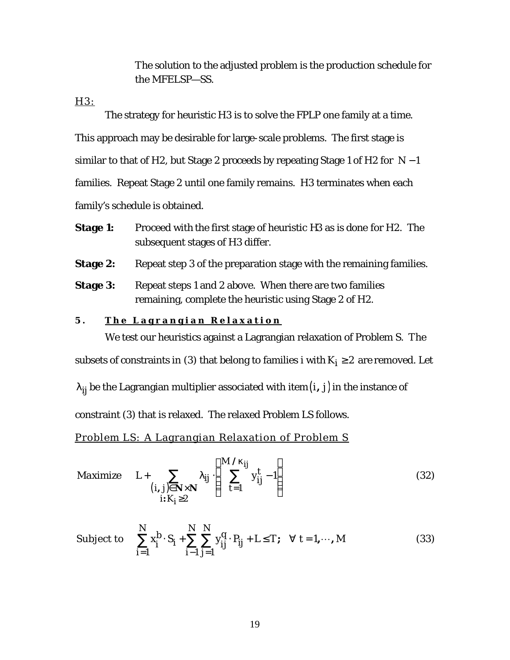The solution to the adjusted problem is the production schedule for the MFELSP—SS.

H3:

The strategy for heuristic H3 is to solve the FPLP one family at a time. This approach may be desirable for large-scale problems. The first stage is similar to that of H2, but Stage 2 proceeds by repeating Stage 1 of H2 for *N* − 1 families. Repeat Stage 2 until one family remains. H3 terminates when each family's schedule is obtained.

- **Stage 1:** Proceed with the first stage of heuristic H3 as is done for H2. The subsequent stages of H3 differ.
- **Stage 2:** Repeat step 3 of the preparation stage with the remaining families.
- **Stage 3:** Repeat steps 1 and 2 above. When there are two families remaining, complete the heuristic using Stage 2 of H2.

### **5 . The Lagrangian Relaxation**

We test our heuristics against a Lagrangian relaxation of Problem S. The subsets of constraints in (3) that belong to families i with  $K_i \geq 2$  are removed. Let

 $I_{ij}$  be the Lagrangian multiplier associated with item $(i, j)$  in the instance of

constraint (3) that is relaxed. The relaxed Problem LS follows.

Problem LS: A Lagrangian Relaxation of Problem S

$$
\text{Maximize} \quad L + \sum_{\substack{(i,j)\in\mathbf{N}\times\mathbf{N} \\ i:K_j\geq 2}} I_{ij} \left( \sum_{t=1}^{M/k_{ij}} y_{ij}^t - 1 \right) \tag{32}
$$

Subject to 
$$
\sum_{i=1}^{N} x_i^b \cdot S_i + \sum_{i=1}^{N} \sum_{j=1}^{N} y_{ij}^q \cdot P_{ij} + L \le T; \quad \forall \ t = 1, \dots, M
$$
 (33)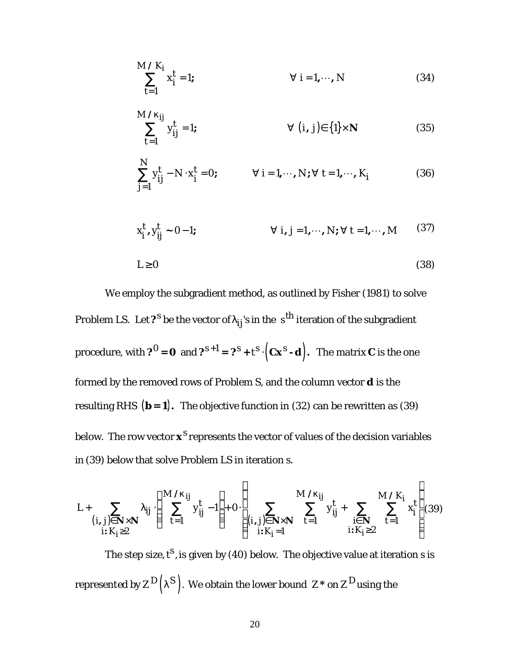$$
\sum_{t=1}^{M/K_i} x_i^t = 1; \qquad \forall i = 1, \cdots, N \qquad (34)
$$

$$
\sum_{t=1}^{M/k_{ij}} y_{ij}^t = 1; \qquad \forall (i, j) \in \{1\} \times \mathbf{N}
$$
 (35)

$$
\sum_{j=1}^{N} y_{ij}^{t} - N \cdot x_{i}^{t} = 0; \qquad \forall i = 1, \cdots, N; \forall t = 1, \cdots, K_{i}
$$
 (36)

$$
x_i^t, y_{ij}^t \sim 0 - 1; \qquad \forall i, j = 1, \cdots, N; \forall t = 1, \cdots, M \qquad (37)
$$

$$
L \ge 0 \tag{38}
$$

We employ the subgradient method, as outlined by Fisher (1981) to solve Problem LS. Let  $\bm{\mathcal{P}}^{\bm{S}}$  be the vector of  $\bm{I}_{\bm{ij}}$ 's in the  $\bm{\mathsf{s}}^{\bm{\text{th}}}$  iteration of the subgradient procedure, with  $2^O = 0$  and  $2^{s+1} = 2^s + t^s \cdot (\mathbf{C} \mathbf{x}^s \cdot \mathbf{d})$ . The matrix  $\mathbf{C}$  is the one formed by the removed rows of Problem S, and the column vector *d* is the resulting RHS  $(\mathbf{b} = \mathbf{1})$ . The objective function in (32) can be rewritten as (39) below. The row vector  $\boldsymbol{x}^S$  represents the vector of values of the decision variables in (39) below that solve Problem LS in iteration s.

$$
L + \sum_{\substack{(i,j)\in N\times N\\i:K_i\geq 2}} I_{ij} \cdot \left( \sum_{t=1}^{M/k_{ij}} y_{ij}^t - 1 \right) + 0 \cdot \left( \sum_{\substack{(i,j)\in N\times N\\i:K_i=1}} \sum_{t=1}^{M/k_{ij}} y_{ij}^t + \sum_{\substack{i\in N\\i:K_i\geq 2}} \sum_{t=1}^{M/K_i} x_i^t \right) (39)
$$

The step size,  $t^{\mathsf{S}}$ , is given by (40) below. The objective value at iteration s is represented by  $Z^D\bigl( I^S \bigr).$  We obtain the lower bound  $\ Z^*$  on  $Z^D$ using the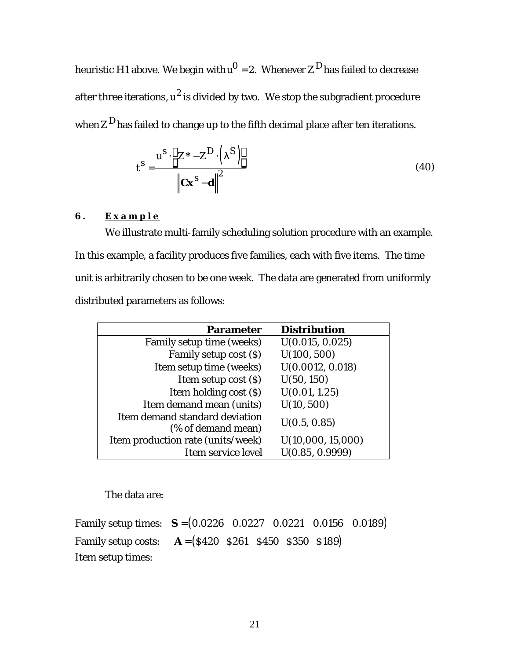heuristic H1 above. We begin with  $u^{\rm O}$  = 2. Whenever  $Z^{\rm D}$ has failed to decrease after three iterations,  $u^2$  is divided by two. We stop the subgradient procedure when  $Z^D$  has failed to change up to the fifth decimal place after ten iterations.

$$
t^{S} = \frac{u^{S} \cdot \left[ Z^{*} - Z^{D} \cdot (I^{S}) \right]}{\left\| C x^{S} - d \right\|^{2}}
$$
(40)

## **6 . Example**

We illustrate multi-family scheduling solution procedure with an example. In this example, a facility produces five families, each with five items. The time unit is arbitrarily chosen to be one week. The data are generated from uniformly distributed parameters as follows:

| <b>Parameter</b>                                     | <b>Distribution</b> |
|------------------------------------------------------|---------------------|
| Family setup time (weeks)                            | U(0.015, 0.025)     |
| Family setup cost (\$)                               | U(100, 500)         |
| Item setup time (weeks)                              | U(0.0012, 0.018)    |
| Item setup cost (\$)                                 | U(50, 150)          |
| Item holding cost (\$)                               | U(0.01, 1.25)       |
| Item demand mean (units)                             | U(10, 500)          |
| Item demand standard deviation<br>(% of demand mean) | U(0.5, 0.85)        |
| Item production rate (units/week)                    | U(10,000, 15,000)   |
| Item service level                                   | U(0.85, 0.9999)     |

The data are:

Family setup times: *S* = (0.0226 0.0227 0.0221 0.0156 0.0189) Family setup costs: *A* = (\$420 \$261 \$450 \$350 \$189) Item setup times: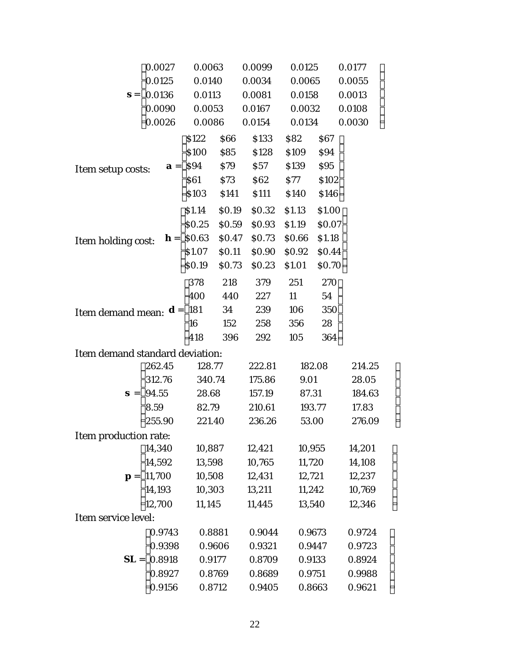|                                                                                                | 0.0027                                        | 0.0063 |           | 0.0099     | 0.0125 |             | 0.0177 |  |
|------------------------------------------------------------------------------------------------|-----------------------------------------------|--------|-----------|------------|--------|-------------|--------|--|
|                                                                                                | 0.0125                                        | 0.0140 |           | 0.0034     | 0.0065 |             | 0.0055 |  |
| $s =$                                                                                          | 0.0136                                        | 0.0113 |           | 0.0081     | 0.0158 |             | 0.0013 |  |
|                                                                                                | 0.0090                                        | 0.0053 |           | 0.0167     | 0.0032 |             | 0.0108 |  |
|                                                                                                | 0.0026                                        | 0.0086 |           | 0.0154     | 0.0134 |             | 0.0030 |  |
|                                                                                                |                                               | \$122  | \$66      | \$133      | \$82   | \$67        |        |  |
|                                                                                                |                                               | \$100  | \$85      | \$128      | \$109  | \$94        |        |  |
| Item setup costs:                                                                              |                                               |        | \$94 \$79 | \$57       | \$139  | \$95        |        |  |
|                                                                                                |                                               |        | \$61 \$73 | <b>S62</b> | S77    | \$102       |        |  |
|                                                                                                |                                               | \$103  | \$141     | \$111      | \$140  | \$146       |        |  |
|                                                                                                |                                               | \$1.14 | \$0.19    | \$0.32     | \$1.13 | \$1.00      |        |  |
|                                                                                                |                                               | \$0.25 | \$0.59    | \$0.93     | \$1.19 | \$0.07      |        |  |
| Item holding cost: $\mathbf{h} = \begin{vmatrix} 0.63 & 0.47 \end{vmatrix}$                    |                                               |        |           | \$0.73     | \$0.66 | \$1.18      |        |  |
|                                                                                                |                                               | \$1.07 | \$0.11    | \$0.90     | \$0.92 | \$0.44      |        |  |
|                                                                                                |                                               | \$0.19 | \$0.73    | \$0.23     | \$1.01 | \$0.70      |        |  |
|                                                                                                |                                               | 378    | 218       | 379        | 251    | $270^\circ$ |        |  |
|                                                                                                |                                               | 400    | 440       | 227        | 11     | 54          |        |  |
| <b>Item demand mean:</b> $\boldsymbol{d} = \begin{vmatrix} 181 & 34 \\ 16 & 152 \end{vmatrix}$ |                                               |        |           | 239        | 106    | 350         |        |  |
|                                                                                                |                                               |        | 152       | 258        | 356    | 28          |        |  |
|                                                                                                |                                               | 418    | 396       | 292        | 105    | 364         |        |  |
| Item demand standard deviation:                                                                |                                               |        |           |            |        |             |        |  |
|                                                                                                | 262.45                                        | 128.77 |           | 222.81     |        | 182.08      | 214.25 |  |
|                                                                                                | 312.76                                        | 340.74 |           | 175.86     | 9.01   |             | 28.05  |  |
|                                                                                                | 94.55                                         | 28.68  |           | 157.19     | 87.31  |             | 184.63 |  |
|                                                                                                | $\begin{array}{c} 8.59 \\ 255.90 \end{array}$ | 82.79  |           | 210.61     | 193.77 |             | 17.83  |  |
|                                                                                                |                                               | 221.40 |           | 236.26     | 53.00  |             | 276.09 |  |
| Item production rate:                                                                          |                                               |        |           |            |        |             |        |  |
|                                                                                                | 14,340                                        | 10,887 |           | 12,421     | 10,955 |             | 14,201 |  |
|                                                                                                | 14,592                                        | 13,598 |           | 10,765     | 11,720 |             | 14,108 |  |
| $\boldsymbol{p}$ =                                                                             | 11,700                                        | 10,508 |           | 12,431     | 12,721 |             | 12,237 |  |
|                                                                                                | 14,193                                        | 10,303 |           | 13,211     | 11,242 |             | 10,769 |  |
|                                                                                                | 12,700                                        | 11,145 |           | 11,445     | 13,540 |             | 12,346 |  |
| Item service level:                                                                            |                                               |        |           |            |        |             |        |  |
|                                                                                                | 0.9743                                        | 0.8881 |           | 0.9044     | 0.9673 |             | 0.9724 |  |
|                                                                                                | 0.9398                                        |        | 0.9606    | 0.9321     | 0.9447 |             | 0.9723 |  |
| $SL =$                                                                                         | 0.8918                                        | 0.9177 |           | 0.8709     | 0.9133 |             | 0.8924 |  |
|                                                                                                | 0.8927                                        | 0.8769 |           | 0.8689     | 0.9751 |             | 0.9988 |  |
|                                                                                                | 0.9156                                        | 0.8712 |           | 0.9405     |        | 0.8663      | 0.9621 |  |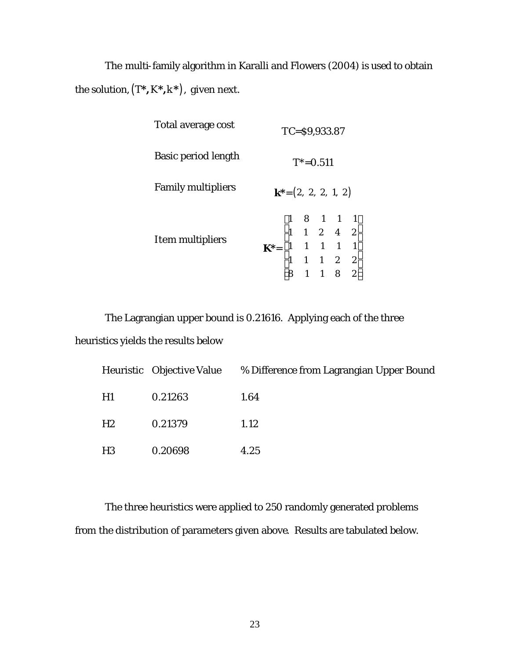The multi-family algorithm in Karalli and Flowers (2004) is used to obtain the solution,  $(T^*, K^*, k^*)$ , given next.

| Total average cost        |                                                                                                                                                      |  |  | $TC = $9,933.87$ |  |  |
|---------------------------|------------------------------------------------------------------------------------------------------------------------------------------------------|--|--|------------------|--|--|
| Basic period length       | $T^* = 0.511$                                                                                                                                        |  |  |                  |  |  |
| <b>Family multipliers</b> | $k^*=(2, 2, 2, 1, 2)$                                                                                                                                |  |  |                  |  |  |
| Item multipliers          | $\mathbf{K}^* = \begin{bmatrix} 1 & 8 & 1 & 1 & 1 \\ 1 & 1 & 2 & 4 & 2 \\ 1 & 1 & 1 & 1 & 1 \\ 1 & 1 & 1 & 2 & 2 \\ 8 & 1 & 1 & 8 & 2 \end{bmatrix}$ |  |  |                  |  |  |

The Lagrangian upper bound is 0.21616. Applying each of the three heuristics yields the results below

|    |         | Heuristic Objective Value % Difference from Lagrangian Upper Bound |
|----|---------|--------------------------------------------------------------------|
| H1 | 0.21263 | 1.64                                                               |
| H2 | 0.21379 | 1.12                                                               |
| H3 | 0.20698 | 4.25                                                               |

The three heuristics were applied to 250 randomly generated problems from the distribution of parameters given above. Results are tabulated below.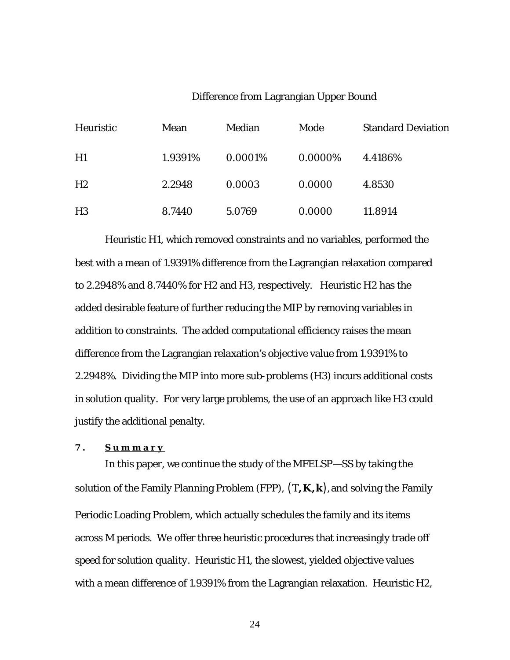### Difference from Lagrangian Upper Bound

| Heuristic      | Mean    | Median  | Mode    | <b>Standard Deviation</b> |
|----------------|---------|---------|---------|---------------------------|
| H1             | 1.9391% | 0.0001% | 0.0000% | 4.4186\%                  |
| H2             | 2.2948  | 0.0003  | 0.0000  | 4.8530                    |
| H <sub>3</sub> | 8.7440  | 5.0769  | 0.0000  | 11.8914                   |

Heuristic H1, which removed constraints and no variables, performed the best with a mean of 1.9391% difference from the Lagrangian relaxation compared to 2.2948% and 8.7440% for H2 and H3, respectively. Heuristic H2 has the added desirable feature of further reducing the MIP by removing variables in addition to constraints. The added computational efficiency raises the mean difference from the Lagrangian relaxation's objective value from 1.9391% to 2.2948%. Dividing the MIP into more sub-problems (H3) incurs additional costs in solution quality. For very large problems, the use of an approach like H3 could justify the additional penalty.

#### **7 . Summary**

In this paper, we continue the study of the MFELSP—SS by taking the solution of the Family Planning Problem (FPP),  $(T, K, k)$ , and solving the Family Periodic Loading Problem, which actually schedules the family and its items across M periods. We offer three heuristic procedures that increasingly trade off speed for solution quality. Heuristic H1, the slowest, yielded objective values with a mean difference of 1.9391% from the Lagrangian relaxation. Heuristic H2,

24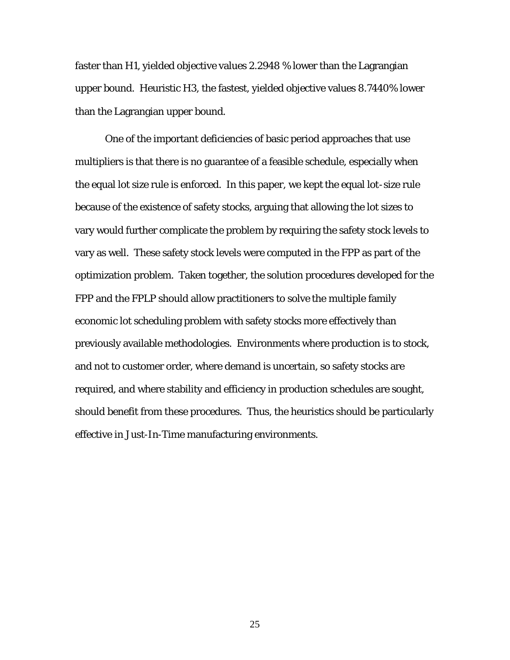faster than H1, yielded objective values 2.2948 % lower than the Lagrangian upper bound. Heuristic H3, the fastest, yielded objective values 8.7440% lower than the Lagrangian upper bound.

One of the important deficiencies of basic period approaches that use multipliers is that there is no guarantee of a feasible schedule, especially when the equal lot size rule is enforced. In this paper, we kept the equal lot-size rule because of the existence of safety stocks, arguing that allowing the lot sizes to vary would further complicate the problem by requiring the safety stock levels to vary as well. These safety stock levels were computed in the FPP as part of the optimization problem. Taken together, the solution procedures developed for the FPP and the FPLP should allow practitioners to solve the multiple family economic lot scheduling problem with safety stocks more effectively than previously available methodologies. Environments where production is to stock, and not to customer order, where demand is uncertain, so safety stocks are required, and where stability and efficiency in production schedules are sought, should benefit from these procedures. Thus, the heuristics should be particularly effective in Just-In-Time manufacturing environments.

25